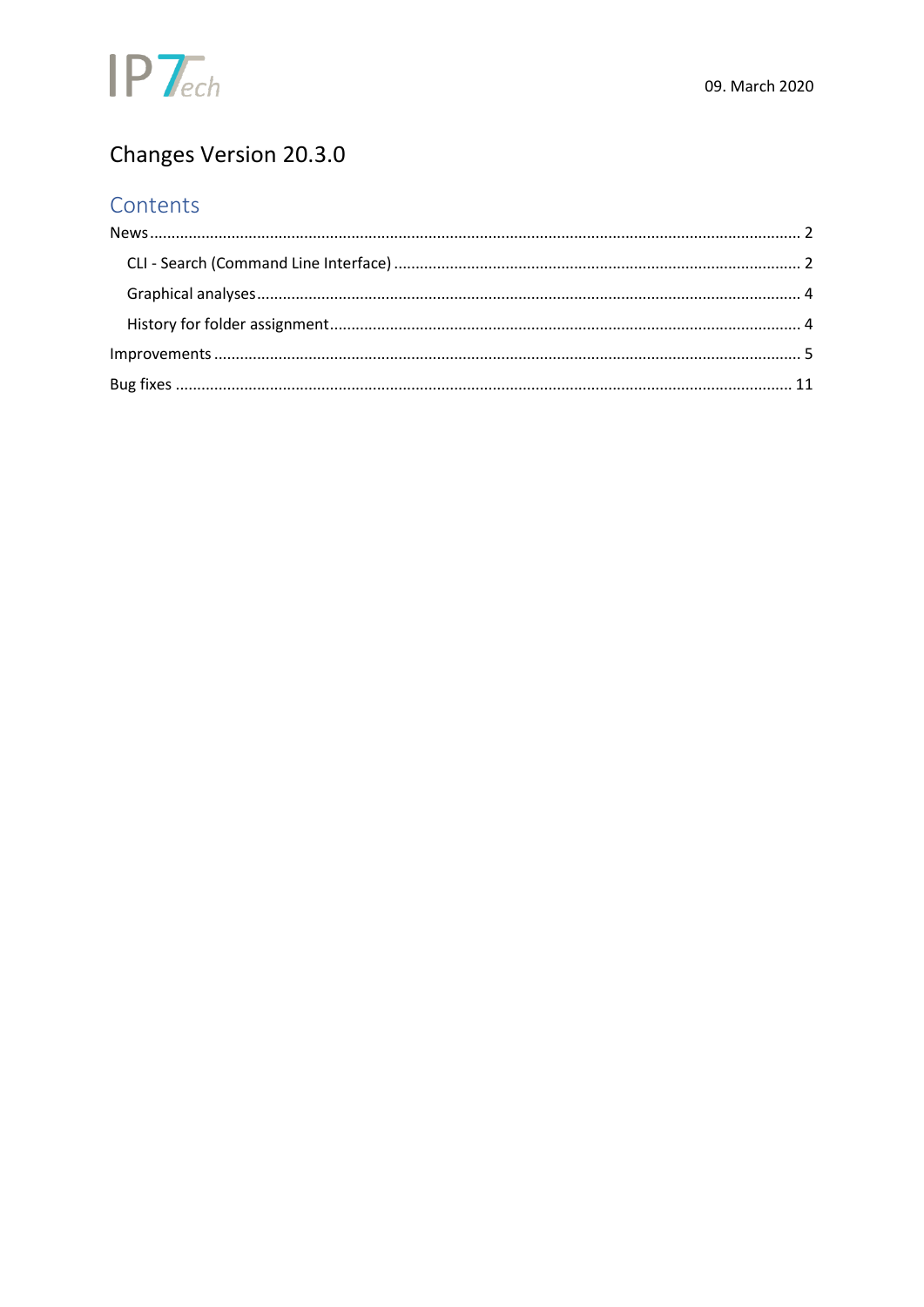

# Changes Version 20.3.0

## Contents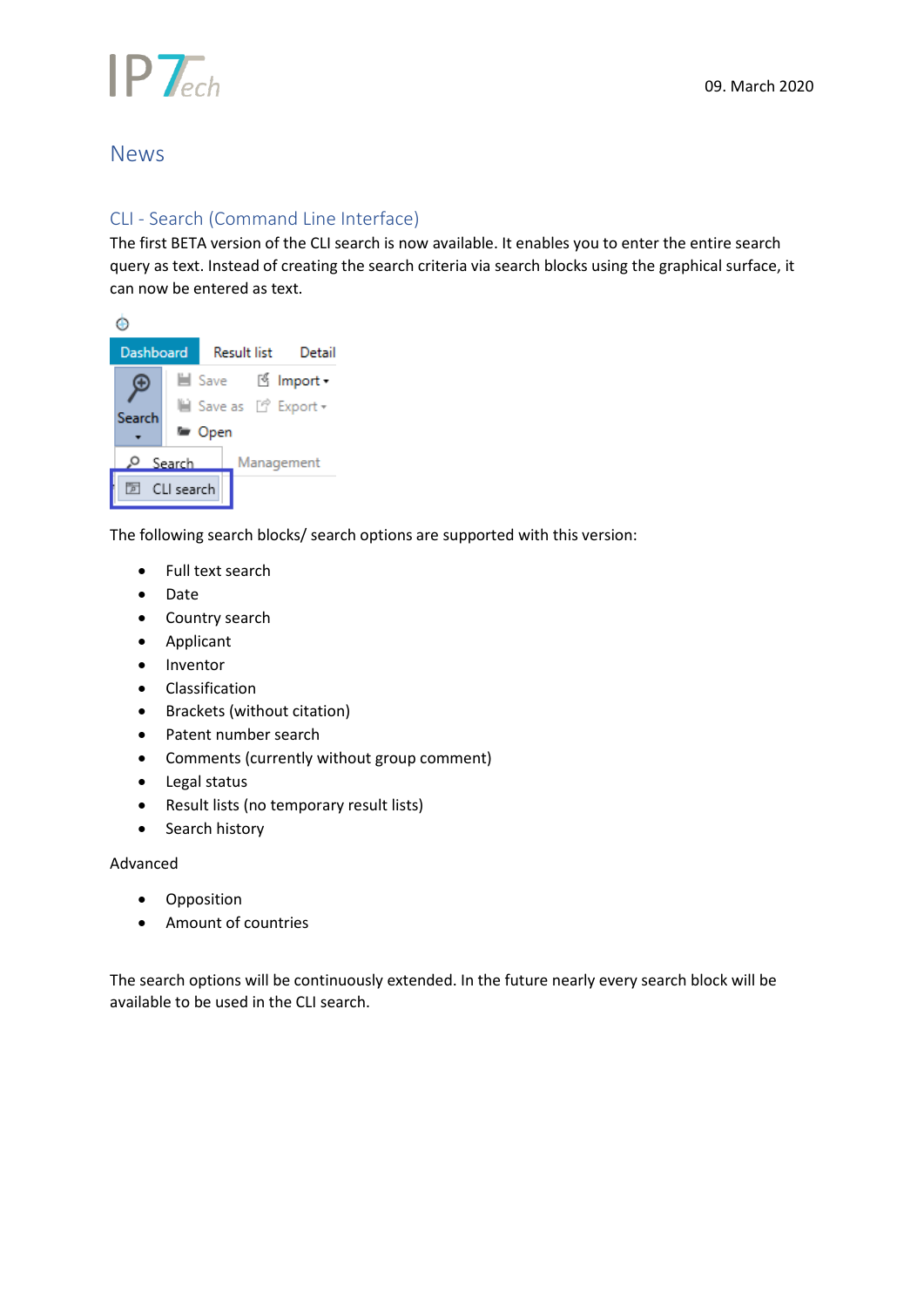

### <span id="page-1-0"></span>News

#### <span id="page-1-1"></span>CLI - Search (Command Line Interface)

The first BETA version of the CLI search is now available. It enables you to enter the entire search query as text. Instead of creating the search criteria via search blocks using the graphical surface, it can now be entered as text.



The following search blocks/ search options are supported with this version:

- Full text search
- Date
- Country search
- Applicant
- Inventor
- Classification
- Brackets (without citation)
- Patent number search
- Comments (currently without group comment)
- Legal status
- Result lists (no temporary result lists)
- Search history

#### Advanced

- Opposition
- Amount of countries

The search options will be continuously extended. In the future nearly every search block will be available to be used in the CLI search.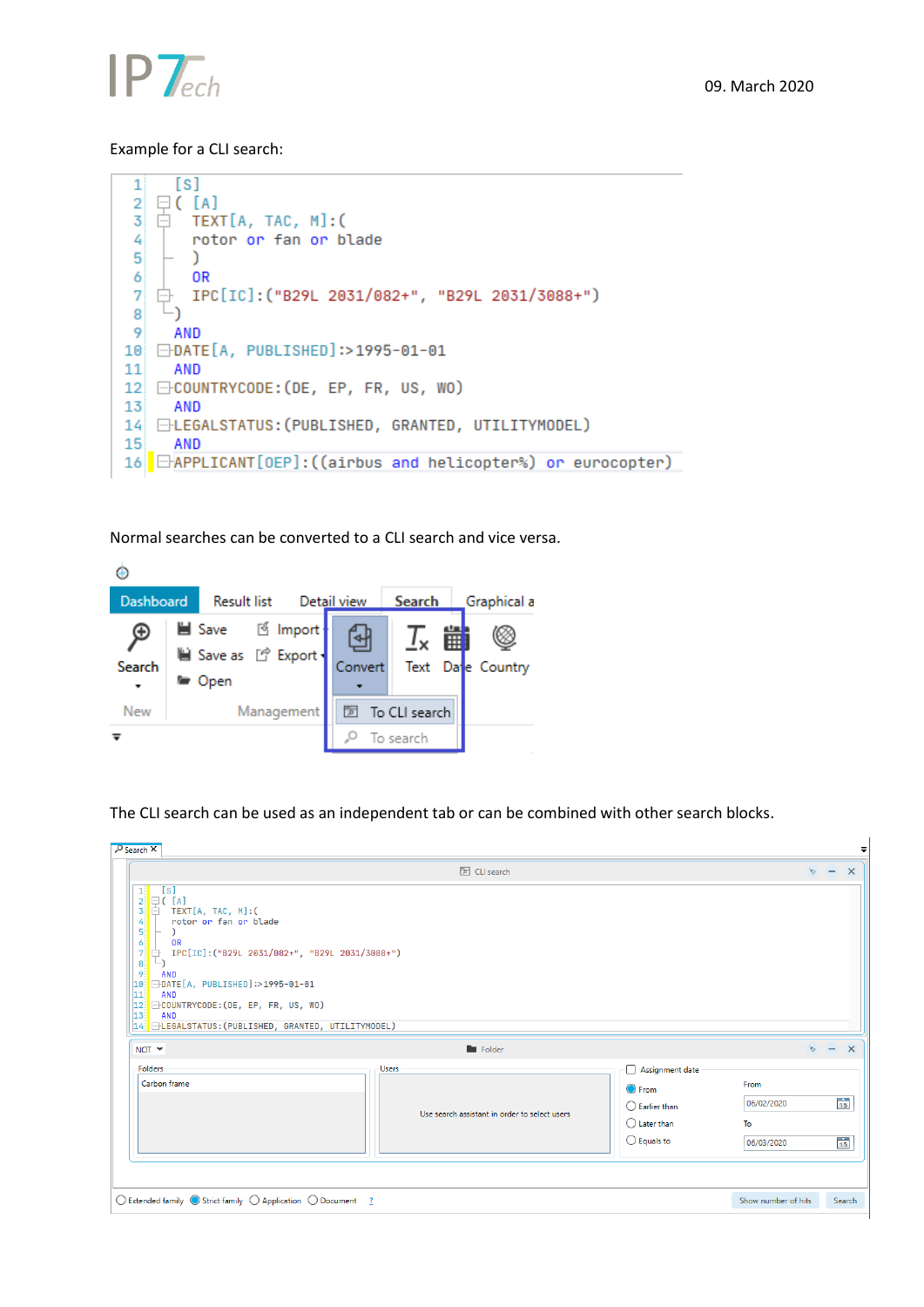

#### Example for a CLI search:

```
[s]1
 \overline{2}\Box ( [A]
 \overline{\mathbf{3}}TEXT[A, TAC, M]:(
    Ė
 4
         rotor or fan or blade
 5
         \lambda0<sub>R</sub>6
 \overline{7}IPC[IC]:("B29L 2031/082+", "B29L 2031/3088+")
    白
     \mathbb{L}_\mathbf{1}8
 9
       AND
10 <del>D</del>DATE[A, PUBLISHED]:>1995-01-01
11
       AND
12 ⊟COUNTRYCODE: (DE, EP, FR, US, WO)
13
       AND
14 ELEGALSTATUS: (PUBLISHED, GRANTED, UTILITYMODEL)
15
       AND
16 EAPPLICANT [OEP]: ((airbus and helicopter%) or eurocopter)
```
Normal searches can be converted to a CLI search and vice versa.



The CLI search can be used as an independent tab or can be combined with other search blocks.

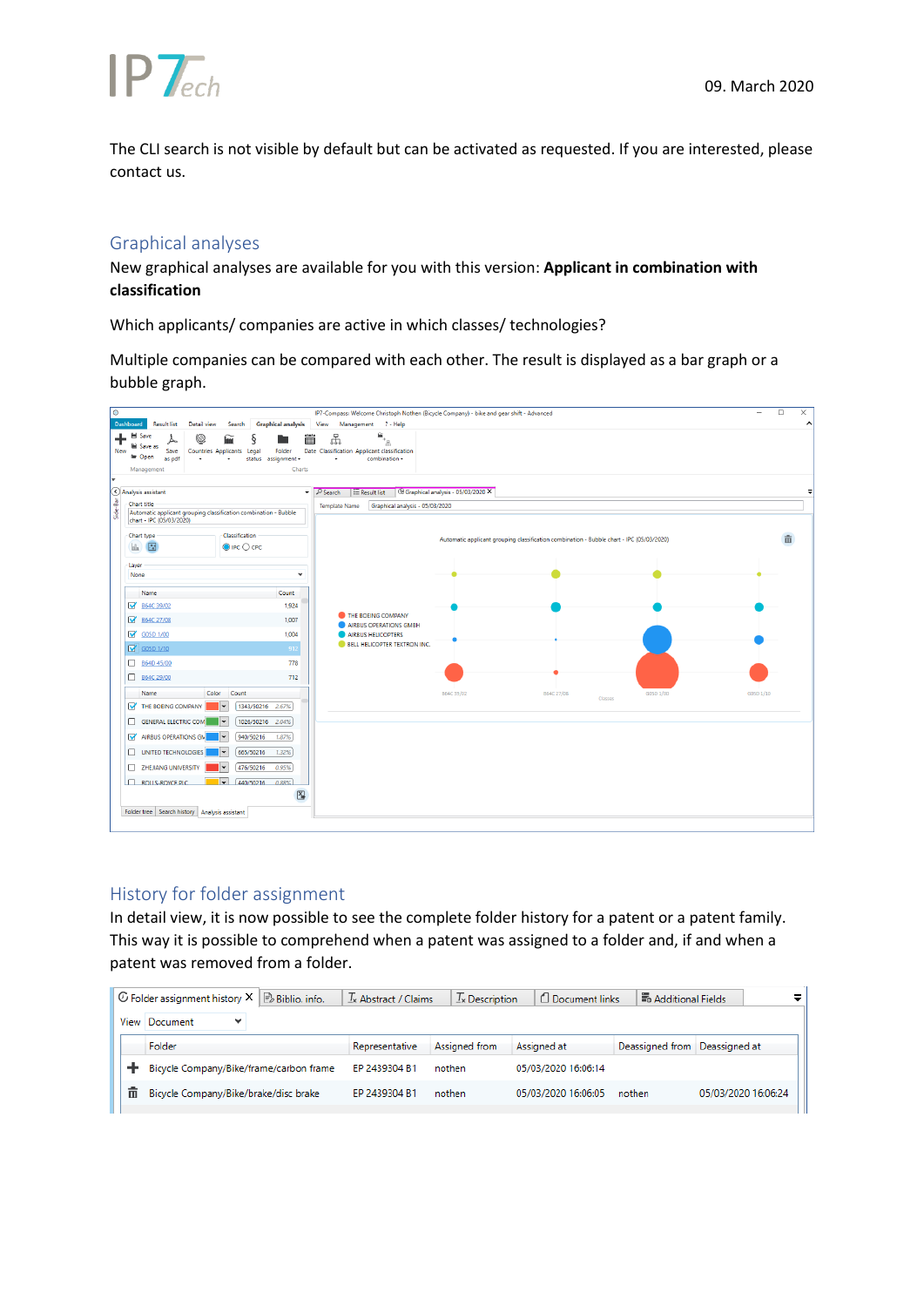

The CLI search is not visible by default but can be activated as requested. If you are interested, please contact us.

#### <span id="page-3-0"></span>Graphical analyses

New graphical analyses are available for you with this version: **Applicant in combination with classification**

Which applicants/ companies are active in which classes/ technologies?

Multiple companies can be compared with each other. The result is displayed as a bar graph or a bubble graph.



#### <span id="page-3-1"></span>History for folder assignment

In detail view, it is now possible to see the complete folder history for a patent or a patent family. This way it is possible to comprehend when a patent was assigned to a folder and, if and when a patent was removed from a folder.

|      | $\mathbb G$ Folder assignment history $\mathsf X \parallel \mathbb B$ Biblio, info. | $\mathcal{I}_{\mathsf{x}}$ Abstract / Claims | $\mathcal{I}_{\mathsf{x}}$ Description | Document links      | <b>B</b> Additional Fields    | =                   |
|------|-------------------------------------------------------------------------------------|----------------------------------------------|----------------------------------------|---------------------|-------------------------------|---------------------|
| View | Document<br>$\checkmark$                                                            |                                              |                                        |                     |                               |                     |
|      | Folder                                                                              | Representative                               | Assigned from                          | Assigned at         | Deassigned from Deassigned at |                     |
|      | Bicycle Company/Bike/frame/carbon frame                                             | EP 2439304 B1                                | nothen                                 | 05/03/2020 16:06:14 |                               |                     |
| 而    | Bicycle Company/Bike/brake/disc brake                                               | EP 2439304 B1                                | nothen                                 | 05/03/2020 16:06:05 | nothen                        | 05/03/2020 16:06:24 |
|      |                                                                                     |                                              |                                        |                     |                               |                     |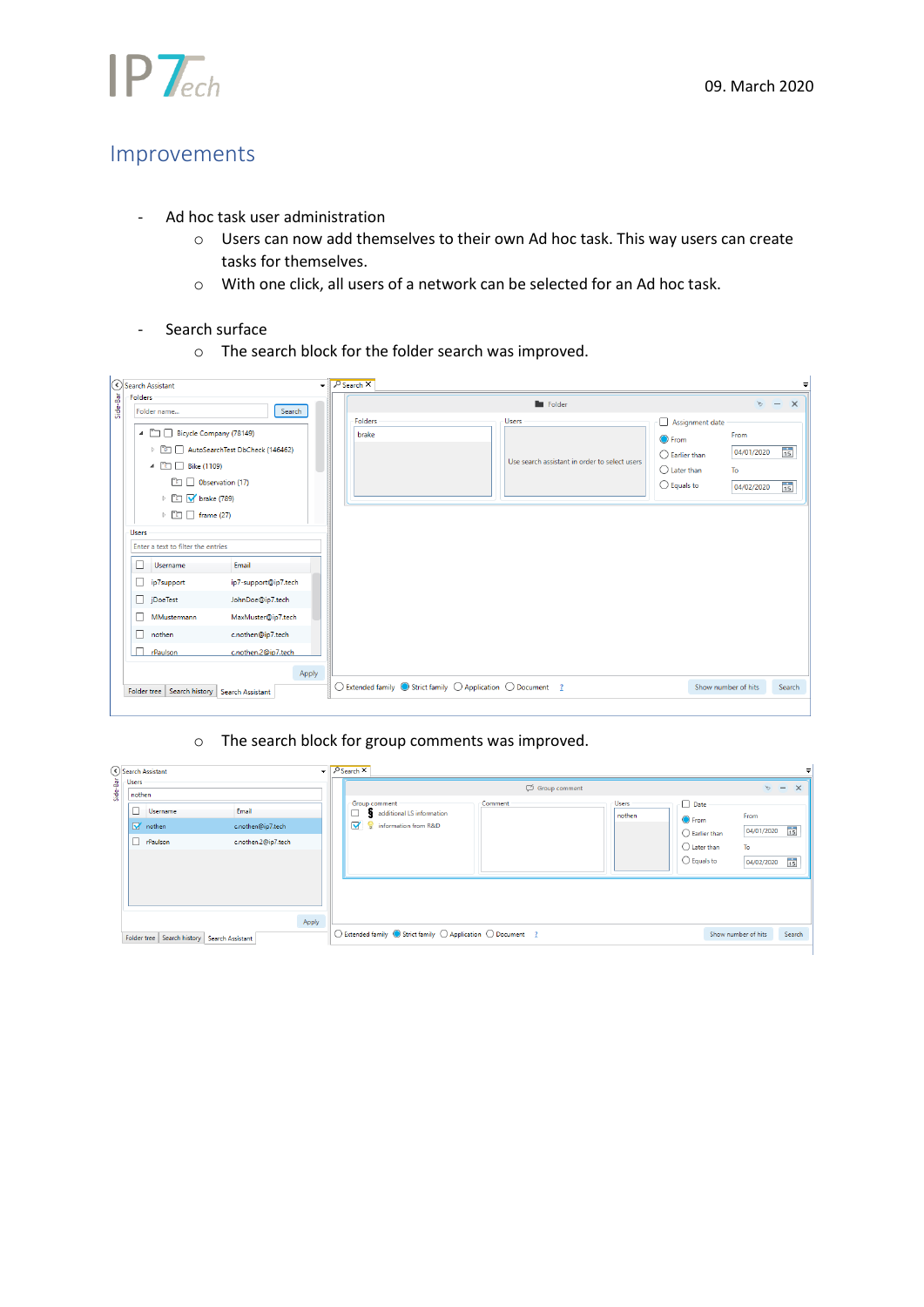

## <span id="page-4-0"></span>Improvements

- Ad hoc task user administration
	- o Users can now add themselves to their own Ad hoc task. This way users can create tasks for themselves.
	- o With one click, all users of a network can be selected for an Ad hoc task.
- Search surface
	- o The search block for the folder search was improved.

|          |              | Search Assistant                                                                                                   |                                 |       | $\overline{\phantom{a}}$ $\sqrt{ }$ Search $\overline{\phantom{a}}$ |                                                                                                  |                 |                                               |                                                                                                              |                                        | ÷                                    |
|----------|--------------|--------------------------------------------------------------------------------------------------------------------|---------------------------------|-------|---------------------------------------------------------------------|--------------------------------------------------------------------------------------------------|-----------------|-----------------------------------------------|--------------------------------------------------------------------------------------------------------------|----------------------------------------|--------------------------------------|
| Side-Bar | Folders      | Folder name                                                                                                        | Search                          |       |                                                                     |                                                                                                  | <b>E</b> Folder |                                               |                                                                                                              | $\mathcal{C}^{\mathcal{C}}$            | $\times$<br>$\overline{\phantom{m}}$ |
|          |              | 4 <b>D</b> Bicycle Company (78149)<br>▲ □ Bike (1109)<br><sup>1</sup> Observation (17)<br><b>▷ ■ v</b> brake (789) | AutoSearchTest DbCheck (146462) |       | Folders<br>brake                                                    |                                                                                                  | Users           | Use search assistant in order to select users | Assignment date<br><b>O</b> From<br>$\bigcirc$ Earlier than<br>$\bigcirc$ Later than<br>$\bigcirc$ Equals to | From<br>04/01/2020<br>To<br>04/02/2020 | $\frac{1}{15}$<br>$\frac{1}{15}$     |
|          | <b>Users</b> | $\triangleright$ $\Box$ $\Box$ frame (27)<br>Enter a text to filter the entries                                    |                                 |       |                                                                     |                                                                                                  |                 |                                               |                                                                                                              |                                        |                                      |
|          | П            | Username                                                                                                           | Email                           |       |                                                                     |                                                                                                  |                 |                                               |                                                                                                              |                                        |                                      |
|          |              | p7support                                                                                                          | ip7-support@ip7.tech            |       |                                                                     |                                                                                                  |                 |                                               |                                                                                                              |                                        |                                      |
|          |              | DoeTest                                                                                                            | JohnDoe@ip7.tech                |       |                                                                     |                                                                                                  |                 |                                               |                                                                                                              |                                        |                                      |
|          | 0            | MMustermann                                                                                                        | MaxMuster@ip7.tech              |       |                                                                     |                                                                                                  |                 |                                               |                                                                                                              |                                        |                                      |
|          | 0            | nothen                                                                                                             | c.nothen@ip7.tech               |       |                                                                     |                                                                                                  |                 |                                               |                                                                                                              |                                        |                                      |
|          | $\Box$       | rPaulson                                                                                                           | c.nothen.2@ip7.tech             |       |                                                                     |                                                                                                  |                 |                                               |                                                                                                              |                                        |                                      |
|          |              | Folder tree                                                                                                        | Search history Search Assistant | Apply |                                                                     | $\bigcirc$ Extended family $\bigcirc$ Strict family $\bigcirc$ Application $\bigcirc$ Document ? |                 |                                               |                                                                                                              | Show number of hits                    | Search                               |

#### o The search block for group comments was improved.

|      |        | Search Assistant                                |                     | $\overline{\phantom{a}}$ $\overline{\phantom{a}}$ Search $\overline{\phantom{a}}$ |         |               |              |                         |                     |                 |
|------|--------|-------------------------------------------------|---------------------|-----------------------------------------------------------------------------------|---------|---------------|--------------|-------------------------|---------------------|-----------------|
| နှ   | Users  |                                                 |                     |                                                                                   |         | Group comment |              |                         | $\times$ - $\times$ |                 |
| Side | nothen |                                                 |                     | Group comment                                                                     | Comment |               | <b>Users</b> | Date                    |                     |                 |
|      | O      | Username                                        | Email               | additional LS information                                                         |         |               | nothen       | <b>O</b> From           | From                |                 |
|      |        | M nothen                                        | c.nothen@ip7.tech   | of P information from R&D                                                         |         |               |              | $\bigcirc$ Earlier than | 04/01/2020          | $\overline{15}$ |
|      | п      | rPaulson                                        | c.nothen.2@ip7.tech |                                                                                   |         |               |              | $\bigcirc$ Later than   | To                  |                 |
|      |        |                                                 |                     |                                                                                   |         |               |              | $\bigcirc$ Equals to    | 04/02/2020          | $\overline{15}$ |
|      |        |                                                 |                     |                                                                                   |         |               |              |                         |                     |                 |
|      |        |                                                 |                     |                                                                                   |         |               |              |                         |                     |                 |
|      |        |                                                 |                     |                                                                                   |         |               |              |                         |                     |                 |
|      |        |                                                 |                     |                                                                                   |         |               |              |                         |                     |                 |
|      |        |                                                 | Apply               |                                                                                   |         |               |              |                         |                     |                 |
|      |        | Folder tree   Search history   Search Assistant |                     | ○ Extended family ● Strict family ○ Application ○ Document ?                      |         |               |              |                         | Show number of hits | Search          |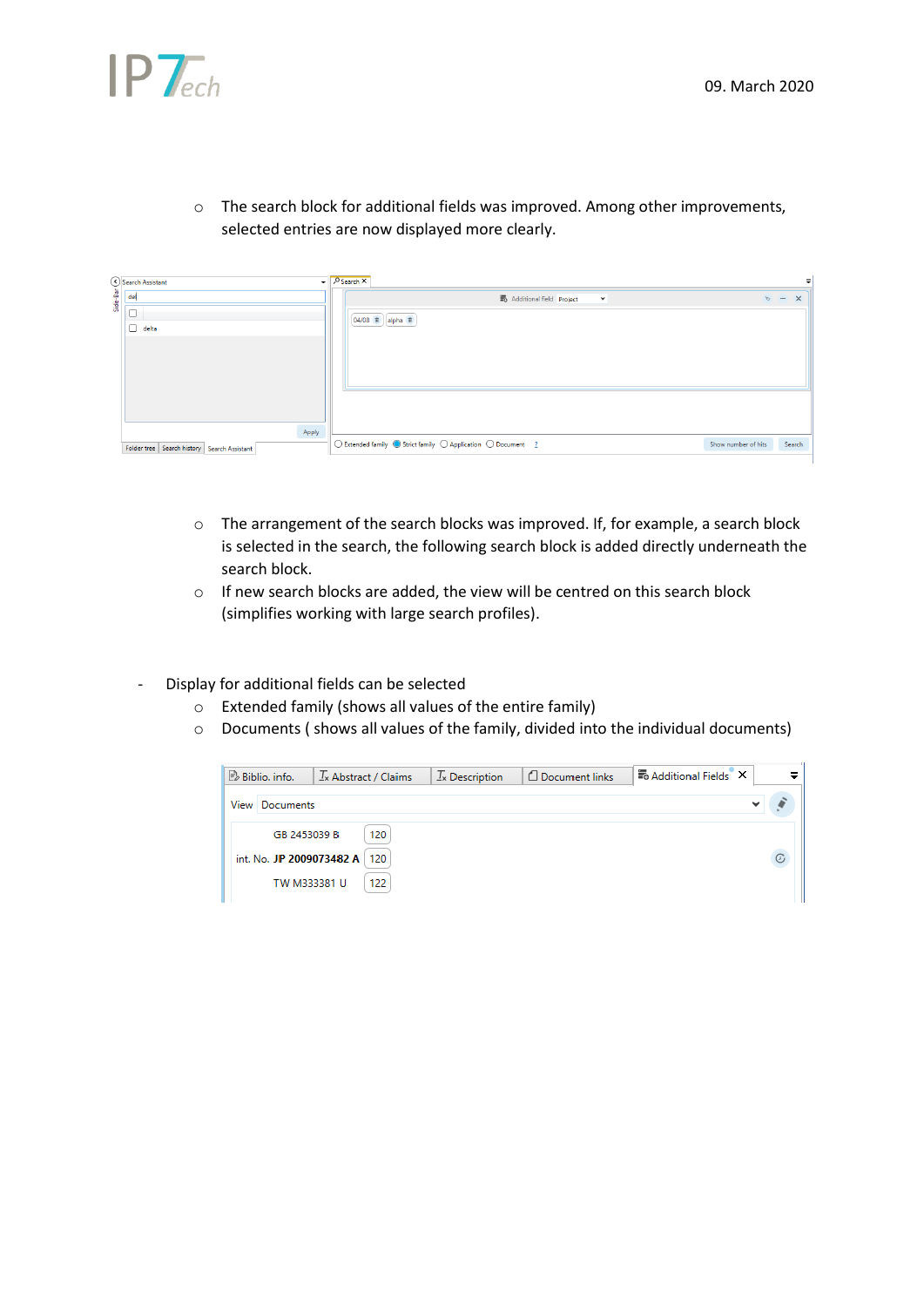

o The search block for additional fields was improved. Among other improvements, selected entries are now displayed more clearly.

|          | Search Assistant                                | $\overline{\phantom{C}}$ $\overline{\phantom{C}}$ Search $\overline{\phantom{C}}$ |                     |                     |  |
|----------|-------------------------------------------------|-----------------------------------------------------------------------------------|---------------------|---------------------|--|
| Side-Bar | del                                             | Additional field Project<br>$\checkmark$                                          |                     | $\times$ - $\times$ |  |
|          | $\Box$                                          |                                                                                   |                     |                     |  |
|          | $\Box$ delta                                    | 04/08 mm alpha mm                                                                 |                     |                     |  |
|          |                                                 |                                                                                   |                     |                     |  |
|          |                                                 |                                                                                   |                     |                     |  |
|          |                                                 |                                                                                   |                     |                     |  |
|          |                                                 |                                                                                   |                     |                     |  |
|          |                                                 |                                                                                   |                     |                     |  |
|          |                                                 |                                                                                   |                     |                     |  |
|          | Apply                                           |                                                                                   |                     |                     |  |
|          | Folder tree   Search history   Search Assistant | ◯ Extended family ● Strict family ○ Application ○ Document ?                      | Show number of hits | Search              |  |

- o The arrangement of the search blocks was improved. If, for example, a search block is selected in the search, the following search block is added directly underneath the search block.
- o If new search blocks are added, the view will be centred on this search block (simplifies working with large search profiles).
- Display for additional fields can be selected
	- o Extended family (shows all values of the entire family)
	- o Documents ( shows all values of the family, divided into the individual documents)

| $\mathbb{B}$ Biblio, info. | $\mathcal{I}_{\mathsf{x}}$ Abstract / Claims | $T_{\rm x}$ Description | Document links | 最 Additional Fields X |         |
|----------------------------|----------------------------------------------|-------------------------|----------------|-----------------------|---------|
| Documents<br>View          |                                              |                         |                |                       |         |
| GB 2453039 B               | 120                                          |                         |                |                       |         |
| int. No. JP 2009073482 A   | 120                                          |                         |                |                       | $\odot$ |
| TW M333381 U               | 122                                          |                         |                |                       |         |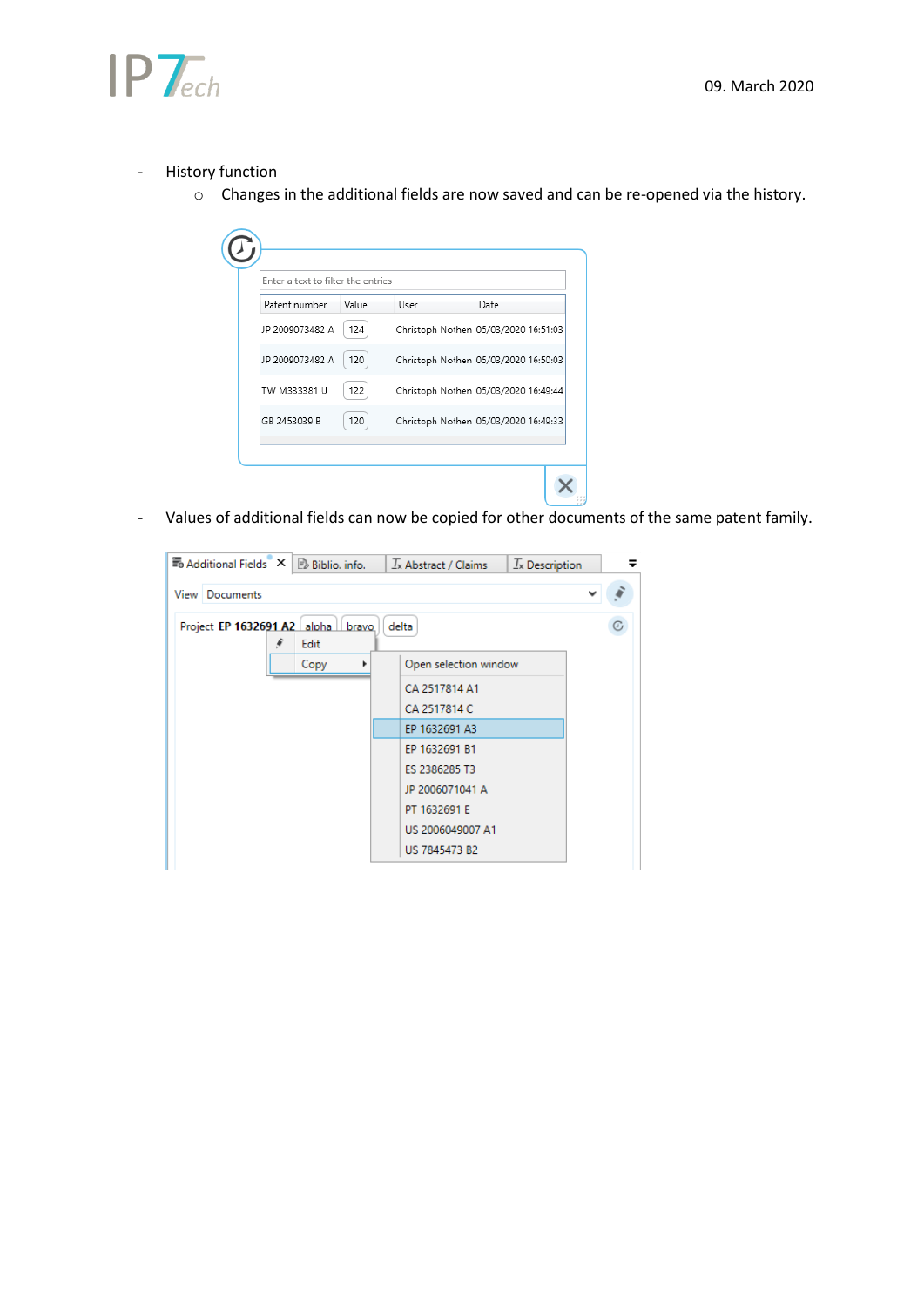



- History function
	- o Changes in the additional fields are now saved and can be re-opened via the history.

| Patent number   | Value | User | Date                                 |
|-----------------|-------|------|--------------------------------------|
| JP 2009073482 A | 124   |      | Christoph Nothen 05/03/2020 16:51:03 |
| JP 2009073482 A | 120   |      | Christoph Nothen 05/03/2020 16:50:03 |
| TW M333381 U    | 122   |      | Christoph Nothen 05/03/2020 16:49:44 |
| GB 2453039 B    | 120   |      | Christoph Nothen 05/03/2020 16:49:33 |

- Values of additional fields can now be copied for other documents of the same patent family.

| <b>Bo</b> Additional Fields $X \rvert B$ Biblio, info. |               | $\frac{1}{x}$ Abstract / Claims | $T_{x}$ Description | =  |
|--------------------------------------------------------|---------------|---------------------------------|---------------------|----|
| <b>View Documents</b>                                  |               |                                 |                     |    |
| Project EP 1632691 A2 alpha<br>ÿ                       | bravo<br>Edit | delta                           |                     | T, |
|                                                        | Copy          | Open selection window           |                     |    |
|                                                        |               | CA 2517814 A1                   |                     |    |
|                                                        |               | CA 2517814 C                    |                     |    |
|                                                        |               | EP 1632691 A3                   |                     |    |
|                                                        |               | EP 1632691 B1                   |                     |    |
|                                                        |               | ES 2386285 T3                   |                     |    |
|                                                        |               | JP 2006071041 A                 |                     |    |
|                                                        |               | PT 1632691 E                    |                     |    |
|                                                        |               | US 2006049007 A1                |                     |    |
|                                                        |               | US 7845473 B2                   |                     |    |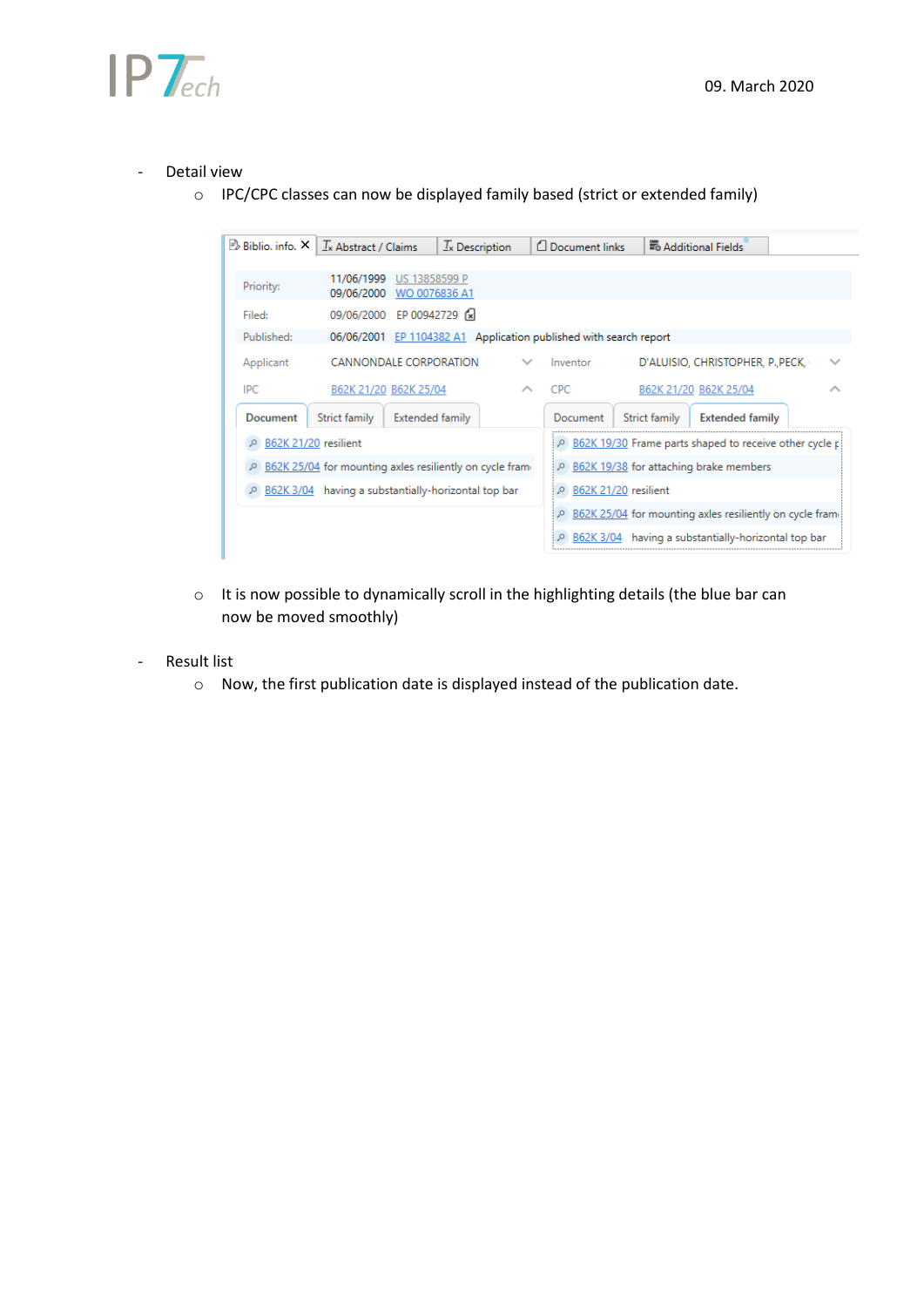

#### Detail view

o IPC/CPC classes can now be displayed family based (strict or extended family)



- o It is now possible to dynamically scroll in the highlighting details (the blue bar can now be moved smoothly)
- **Result list** 
	- o Now, the first publication date is displayed instead of the publication date.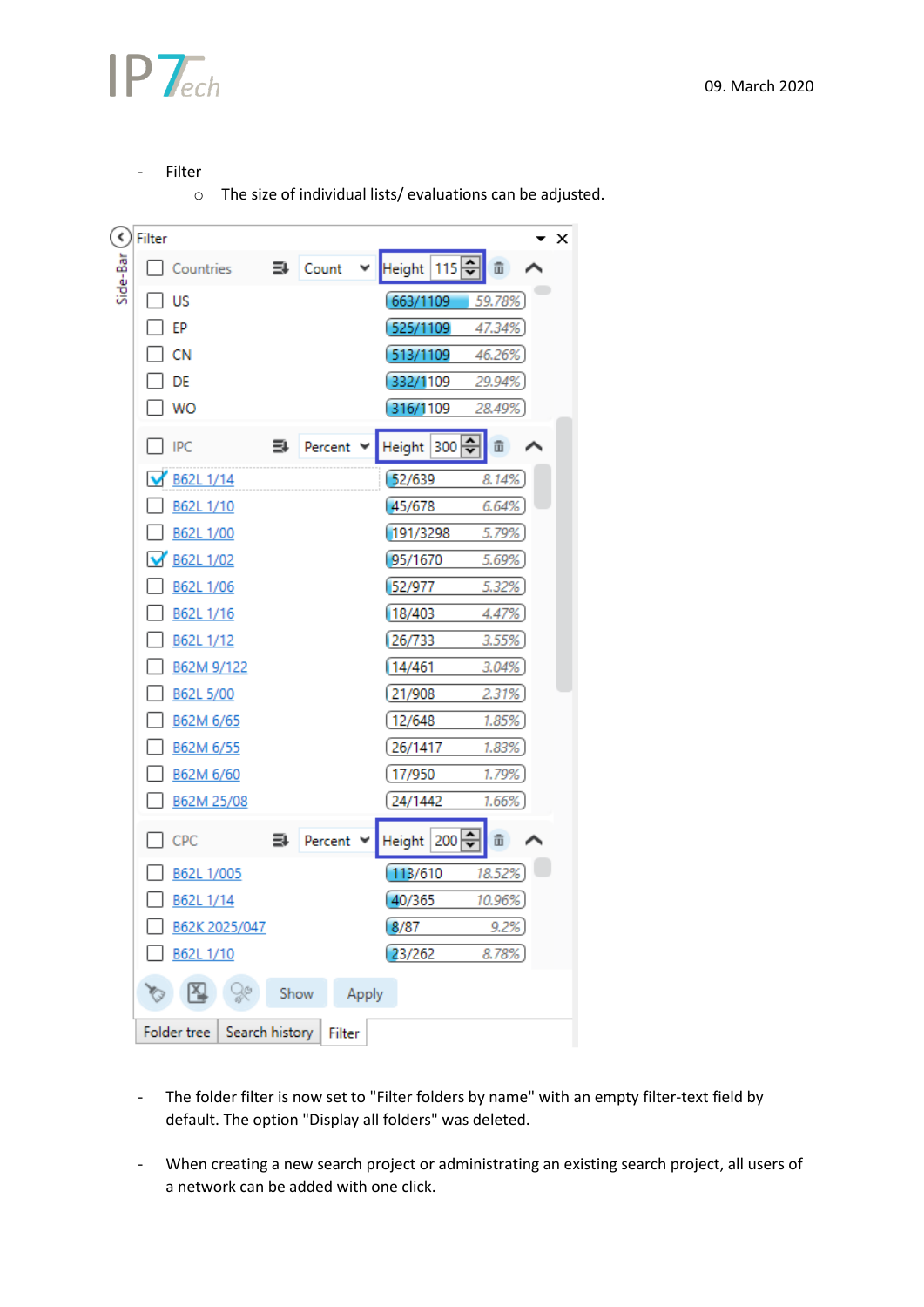

- Filter

o The size of individual lists/ evaluations can be adjusted.

| $\blacktriangleleft$ | Filter                        |      |                              |       |                   |              | $\times$ |
|----------------------|-------------------------------|------|------------------------------|-------|-------------------|--------------|----------|
| Side-Bar             | Countries                     |      | $\exists$ Count              | ٧     | 115위<br>Height    | 亩            |          |
|                      | US                            |      |                              |       | 663/1109          | 59.78%       |          |
|                      | EP                            |      |                              |       | 525/1109          | 47.34%       |          |
|                      | <b>CN</b>                     |      |                              |       | 513/1109          | 46.26%       |          |
|                      | DE                            |      |                              |       | 332/1109          | 29.94%       |          |
|                      | <b>WO</b>                     |      |                              |       | 316/1109          | 28.49%       |          |
|                      | <b>IPC</b>                    | ⋾    | Percent $\blacktriangledown$ |       | $300 -$<br>Height | 亩            |          |
|                      | B62L 1/14                     |      |                              |       | 52/639            | 8.14%        |          |
|                      | B62L 1/10                     |      |                              |       | 45/678            | 6.64%        |          |
|                      | B62L 1/00                     |      |                              |       | 191/3298          | 5.79%        |          |
|                      | B62L 1/02<br>M                |      |                              |       | 95/1670           | 5.69%        |          |
|                      | B62L 1/06                     |      |                              |       | 52/977            | 5.32%        |          |
|                      | B62L 1/16                     |      |                              |       | 18/403            | 4.47%        |          |
|                      | B62L 1/12                     |      |                              |       | 26/733            | 3.55%        |          |
|                      | B62M 9/122                    |      |                              |       | 14/461            | 3.04%        |          |
|                      | B62L 5/00                     |      |                              |       | 21/908            | 2.31%        |          |
|                      | B62M 6/65                     |      |                              |       | 12/648            | 1.85%        |          |
|                      | B62M 6/55                     |      |                              |       | 26/1417           | 1.83%        |          |
|                      | B62M 6/60                     |      |                              |       | 17/950            | 1.79%        |          |
|                      | B62M 25/08                    |      |                              |       | 24/1442           | 1.66%        |          |
|                      | CPC                           | ₹    | Percent                      |       | $200 -$<br>Height | 亩            |          |
|                      | B62L 1/005                    |      |                              |       | 113/610           | 18.52%       |          |
|                      | B62L 1/14                     |      |                              |       | 40/365            | 10.96%       |          |
|                      | B62K 2025/047                 |      |                              |       | 8/87              | <u>9.2%)</u> |          |
|                      | B62L 1/10                     |      |                              |       | 23/262            | 8.78%        |          |
|                      | IX,<br>$\frac{1}{2}$          | Show |                              | Apply |                   |              |          |
|                      | Folder tree<br>Search history |      | Filter                       |       |                   |              |          |

- The folder filter is now set to "Filter folders by name" with an empty filter-text field by default. The option "Display all folders" was deleted.
- When creating a new search project or administrating an existing search project, all users of a network can be added with one click.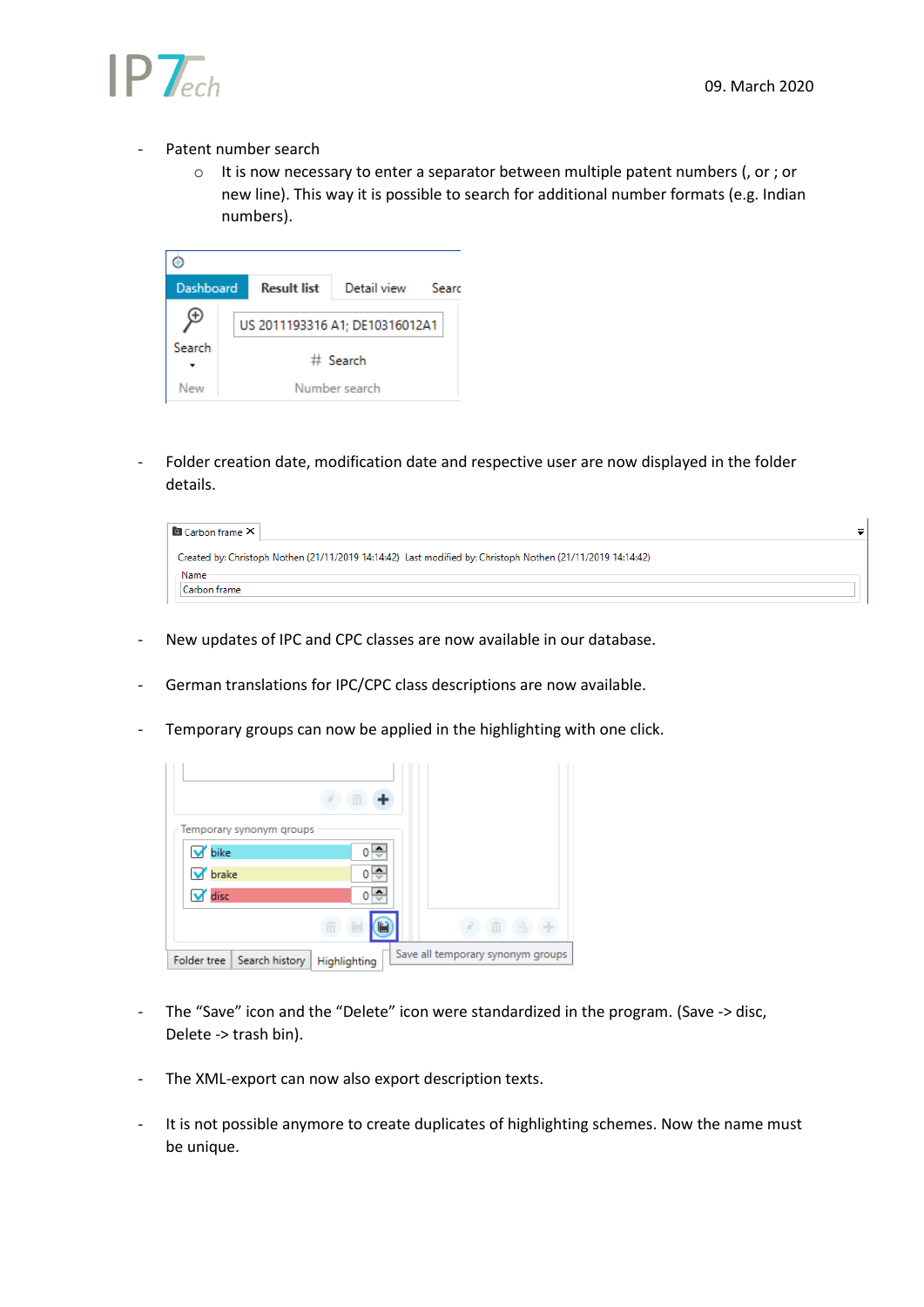

#### Patent number search

o It is now necessary to enter a separator between multiple patent numbers (, or ; or new line). This way it is possible to search for additional number formats (e.g. Indian numbers).

| <b>Dashboard</b> | <b>Result list</b> | Detail view                    | Searc |  |  |  |
|------------------|--------------------|--------------------------------|-------|--|--|--|
| ٠.               |                    | US 2011193316 A1; DE10316012A1 |       |  |  |  |
| Search           | $#$ Search         |                                |       |  |  |  |
| New              |                    | Number search                  |       |  |  |  |

- Folder creation date, modification date and respective user are now displayed in the folder details.

| <b>Carbon frame X</b>                                                                                       |  |
|-------------------------------------------------------------------------------------------------------------|--|
| Created by: Christoph Nothen (21/11/2019 14:14:42) Last modified by: Christoph Nothen (21/11/2019 14:14:42) |  |
| <b>Name</b>                                                                                                 |  |
| Carbon frame                                                                                                |  |

- New updates of IPC and CPC classes are now available in our database.
- German translations for IPC/CPC class descriptions are now available.
- Temporary groups can now be applied in the highlighting with one click.

|                               | 而            |                                   |
|-------------------------------|--------------|-----------------------------------|
| Temporary synonym groups      |              |                                   |
| <b>V</b> bike                 |              |                                   |
| <b>V</b> brake                |              |                                   |
| v disc                        |              |                                   |
|                               | m            | 亩                                 |
| Search history<br>Folder tree | Highlighting | Save all temporary synonym groups |

- The "Save" icon and the "Delete" icon were standardized in the program. (Save -> disc, Delete -> trash bin).
- The XML-export can now also export description texts.
- It is not possible anymore to create duplicates of highlighting schemes. Now the name must be unique.